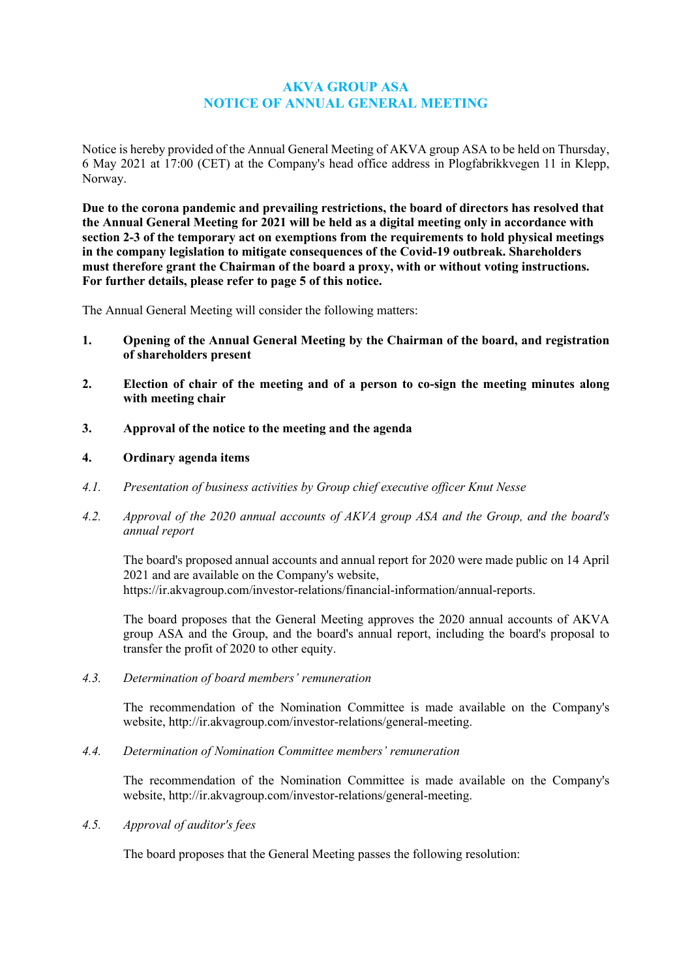# **AKVA GROUP ASA NOTICE OF ANNUAL GENERAL MEETING**

Notice is hereby provided of the Annual General Meeting of AKVA group ASA to be held on Thursday, 6 May 2021 at 17:00 (CET) at the Company's head office address in Plogfabrikkvegen 11 in Klepp, Norway.

**Due to the corona pandemic and prevailing restrictions, the board of directors has resolved that the Annual General Meeting for 2021 will be held as a digital meeting only in accordance with section 2-3 of the temporary act on exemptions from the requirements to hold physical meetings in the company legislation to mitigate consequences of the Covid-19 outbreak. Shareholders must therefore grant the Chairman of the board a proxy, with or without voting instructions. For further details, please refer to page 5 of this notice.**

The Annual General Meeting will consider the following matters:

- **1. Opening of the Annual General Meeting by the Chairman of the board, and registration of shareholders present**
- **2. Election of chair of the meeting and of a person to co-sign the meeting minutes along with meeting chair**
- **3. Approval of the notice to the meeting and the agenda**
- **4. Ordinary agenda items**
- *4.1. Presentation of business activities by Group chief executive officer Knut Nesse*
- *4.2. Approval of the 2020 annual accounts of AKVA group ASA and the Group, and the board's annual report*

The board's proposed annual accounts and annual report for 2020 were made public on 14 April 2021 and are available on the Company's website, https://ir.akvagroup.com/investor-relations/financial-information/annual-reports.

The board proposes that the General Meeting approves the 2020 annual accounts of AKVA group ASA and the Group, and the board's annual report, including the board's proposal to transfer the profit of 2020 to other equity.

*4.3. Determination of board members' remuneration*

The recommendation of the Nomination Committee is made available on the Company's website, [http://ir.akvagroup.com/investor-relations/general-meeting.](http://ir.akvagroup.com/investor-relations/general-meeting)

*4.4. Determination of Nomination Committee members' remuneration*

The recommendation of the Nomination Committee is made available on the Company's website, [http://ir.akvagroup.com/investor-relations/general-meeting.](http://ir.akvagroup.com/investor-relations/general-meeting)

*4.5. Approval of auditor's fees*

The board proposes that the General Meeting passes the following resolution: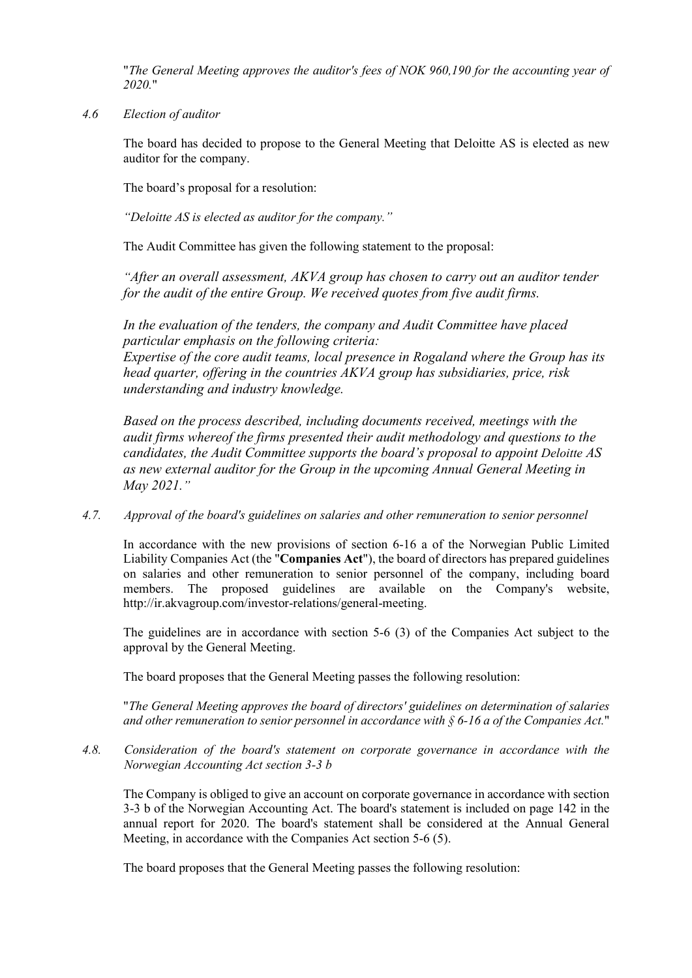"*The General Meeting approves the auditor's fees of NOK 960,190 for the accounting year of 2020.*"

*4.6 Election of auditor*

The board has decided to propose to the General Meeting that Deloitte AS is elected as new auditor for the company.

The board's proposal for a resolution:

*"Deloitte AS is elected as auditor for the company."*

The Audit Committee has given the following statement to the proposal:

*"After an overall assessment, AKVA group has chosen to carry out an auditor tender for the audit of the entire Group. We received quotes from five audit firms.* 

*In the evaluation of the tenders, the company and Audit Committee have placed particular emphasis on the following criteria: Expertise of the core audit teams, local presence in Rogaland where the Group has its head quarter, offering in the countries AKVA group has subsidiaries, price, risk understanding and industry knowledge.*

*Based on the process described, including documents received, meetings with the audit firms whereof the firms presented their audit methodology and questions to the candidates, the Audit Committee supports the board's proposal to appoint Deloitte AS as new external auditor for the Group in the upcoming Annual General Meeting in May 2021."*

*4.7. Approval of the board's guidelines on salaries and other remuneration to senior personnel*

In accordance with the new provisions of section 6-16 a of the Norwegian Public Limited Liability Companies Act (the "**Companies Act**"), the board of directors has prepared guidelines on salaries and other remuneration to senior personnel of the company, including board members. The proposed guidelines are available on the Company's website, [http://ir.akvagroup.com/investor-relations/general-meeting.](http://ir.akvagroup.com/investor-relations/general-meeting)

The guidelines are in accordance with section 5-6 (3) of the Companies Act subject to the approval by the General Meeting.

The board proposes that the General Meeting passes the following resolution:

"*The General Meeting approves the board of directors' guidelines on determination of salaries and other remuneration to senior personnel in accordance with § 6-16 a of the Companies Act.*"

*4.8. Consideration of the board's statement on corporate governance in accordance with the Norwegian Accounting Act section 3-3 b*

The Company is obliged to give an account on corporate governance in accordance with section 3-3 b of the Norwegian Accounting Act. The board's statement is included on page 142 in the annual report for 2020. The board's statement shall be considered at the Annual General Meeting, in accordance with the Companies Act section 5-6 (5).

The board proposes that the General Meeting passes the following resolution: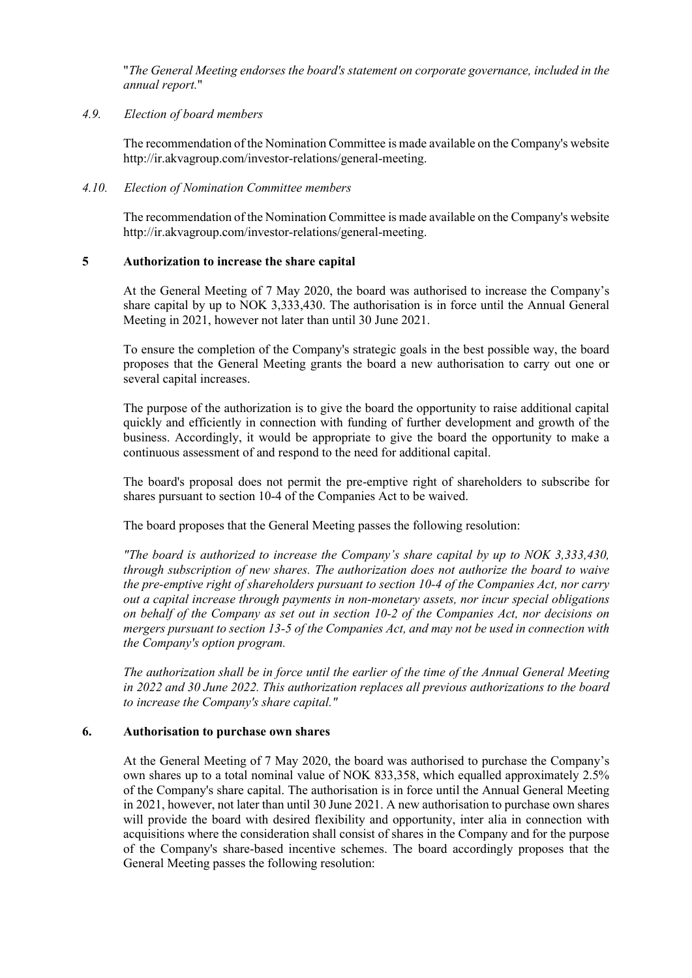"*The General Meeting endorses the board's statement on corporate governance, included in the annual report.*"

## *4.9. Election of board members*

The recommendation of the Nomination Committee is made available on the Company's website [http://ir.akvagroup.com/investor-relations/general-meeting.](http://ir.akvagroup.com/investor-relations/general-meeting)

## *4.10. Election of Nomination Committee members*

The recommendation of the Nomination Committee is made available on the Company's website [http://ir.akvagroup.com/investor-relations/general-meeting.](http://ir.akvagroup.com/investor-relations/general-meeting)

## **5 Authorization to increase the share capital**

At the General Meeting of 7 May 2020, the board was authorised to increase the Company's share capital by up to NOK 3,333,430. The authorisation is in force until the Annual General Meeting in 2021, however not later than until 30 June 2021.

To ensure the completion of the Company's strategic goals in the best possible way, the board proposes that the General Meeting grants the board a new authorisation to carry out one or several capital increases.

The purpose of the authorization is to give the board the opportunity to raise additional capital quickly and efficiently in connection with funding of further development and growth of the business. Accordingly, it would be appropriate to give the board the opportunity to make a continuous assessment of and respond to the need for additional capital.

The board's proposal does not permit the pre-emptive right of shareholders to subscribe for shares pursuant to section 10-4 of the Companies Act to be waived.

The board proposes that the General Meeting passes the following resolution:

*"The board is authorized to increase the Company's share capital by up to NOK 3,333,430, through subscription of new shares. The authorization does not authorize the board to waive the pre-emptive right of shareholders pursuant to section 10-4 of the Companies Act, nor carry out a capital increase through payments in non-monetary assets, nor incur special obligations on behalf of the Company as set out in section 10-2 of the Companies Act, nor decisions on mergers pursuant to section 13-5 of the Companies Act, and may not be used in connection with the Company's option program.*

*The authorization shall be in force until the earlier of the time of the Annual General Meeting in 2022 and 30 June 2022. This authorization replaces all previous authorizations to the board to increase the Company's share capital."*

# **6. Authorisation to purchase own shares**

At the General Meeting of 7 May 2020, the board was authorised to purchase the Company's own shares up to a total nominal value of NOK 833,358, which equalled approximately 2.5% of the Company's share capital. The authorisation is in force until the Annual General Meeting in 2021, however, not later than until 30 June 2021. A new authorisation to purchase own shares will provide the board with desired flexibility and opportunity, inter alia in connection with acquisitions where the consideration shall consist of shares in the Company and for the purpose of the Company's share-based incentive schemes. The board accordingly proposes that the General Meeting passes the following resolution: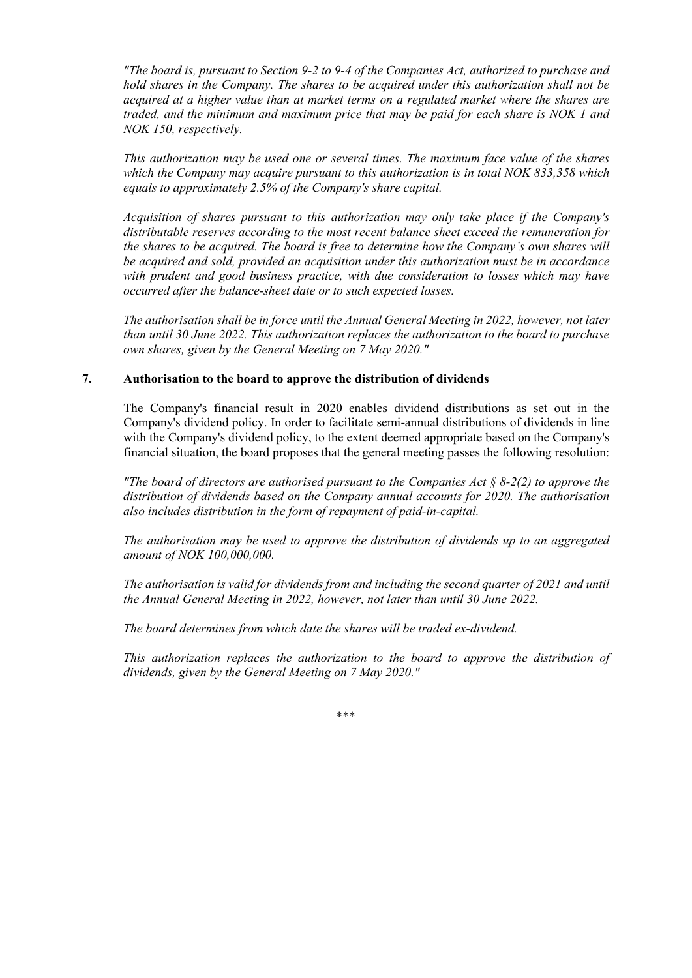*"The board is, pursuant to Section 9-2 to 9-4 of the Companies Act, authorized to purchase and hold shares in the Company. The shares to be acquired under this authorization shall not be acquired at a higher value than at market terms on a regulated market where the shares are traded, and the minimum and maximum price that may be paid for each share is NOK 1 and NOK 150, respectively.*

*This authorization may be used one or several times. The maximum face value of the shares which the Company may acquire pursuant to this authorization is in total NOK 833,358 which equals to approximately 2.5% of the Company's share capital.*

*Acquisition of shares pursuant to this authorization may only take place if the Company's distributable reserves according to the most recent balance sheet exceed the remuneration for the shares to be acquired. The board is free to determine how the Company's own shares will be acquired and sold, provided an acquisition under this authorization must be in accordance with prudent and good business practice, with due consideration to losses which may have occurred after the balance-sheet date or to such expected losses.*

*The authorisation shall be in force until the Annual General Meeting in 2022, however, not later than until 30 June 2022. This authorization replaces the authorization to the board to purchase own shares, given by the General Meeting on 7 May 2020."*

# **7. Authorisation to the board to approve the distribution of dividends**

The Company's financial result in 2020 enables dividend distributions as set out in the Company's dividend policy. In order to facilitate semi-annual distributions of dividends in line with the Company's dividend policy, to the extent deemed appropriate based on the Company's financial situation, the board proposes that the general meeting passes the following resolution:

*"The board of directors are authorised pursuant to the Companies Act § 8-2(2) to approve the distribution of dividends based on the Company annual accounts for 2020. The authorisation also includes distribution in the form of repayment of paid-in-capital.*

*The authorisation may be used to approve the distribution of dividends up to an aggregated amount of NOK 100,000,000.* 

*The authorisation is valid for dividends from and including the second quarter of 2021 and until the Annual General Meeting in 2022, however, not later than until 30 June 2022.*

*The board determines from which date the shares will be traded ex-dividend.* 

*This authorization replaces the authorization to the board to approve the distribution of dividends, given by the General Meeting on 7 May 2020."*

\*\*\*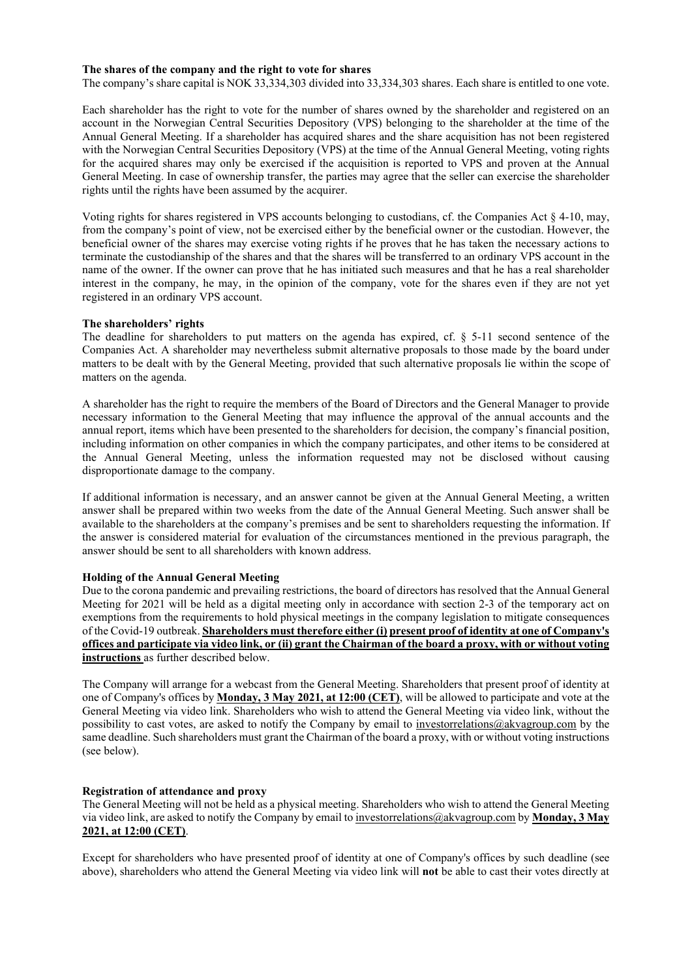## **The shares of the company and the right to vote for shares**

The company's share capital is NOK 33,334,303 divided into 33,334,303 shares. Each share is entitled to one vote.

Each shareholder has the right to vote for the number of shares owned by the shareholder and registered on an account in the Norwegian Central Securities Depository (VPS) belonging to the shareholder at the time of the Annual General Meeting. If a shareholder has acquired shares and the share acquisition has not been registered with the Norwegian Central Securities Depository (VPS) at the time of the Annual General Meeting, voting rights for the acquired shares may only be exercised if the acquisition is reported to VPS and proven at the Annual General Meeting. In case of ownership transfer, the parties may agree that the seller can exercise the shareholder rights until the rights have been assumed by the acquirer.

Voting rights for shares registered in VPS accounts belonging to custodians, cf. the Companies Act § 4-10, may, from the company's point of view, not be exercised either by the beneficial owner or the custodian. However, the beneficial owner of the shares may exercise voting rights if he proves that he has taken the necessary actions to terminate the custodianship of the shares and that the shares will be transferred to an ordinary VPS account in the name of the owner. If the owner can prove that he has initiated such measures and that he has a real shareholder interest in the company, he may, in the opinion of the company, vote for the shares even if they are not yet registered in an ordinary VPS account.

## **The shareholders' rights**

The deadline for shareholders to put matters on the agenda has expired, cf. § 5-11 second sentence of the Companies Act. A shareholder may nevertheless submit alternative proposals to those made by the board under matters to be dealt with by the General Meeting, provided that such alternative proposals lie within the scope of matters on the agenda.

A shareholder has the right to require the members of the Board of Directors and the General Manager to provide necessary information to the General Meeting that may influence the approval of the annual accounts and the annual report, items which have been presented to the shareholders for decision, the company's financial position, including information on other companies in which the company participates, and other items to be considered at the Annual General Meeting, unless the information requested may not be disclosed without causing disproportionate damage to the company.

If additional information is necessary, and an answer cannot be given at the Annual General Meeting, a written answer shall be prepared within two weeks from the date of the Annual General Meeting. Such answer shall be available to the shareholders at the company's premises and be sent to shareholders requesting the information. If the answer is considered material for evaluation of the circumstances mentioned in the previous paragraph, the answer should be sent to all shareholders with known address.

## **Holding of the Annual General Meeting**

Due to the corona pandemic and prevailing restrictions, the board of directors has resolved that the Annual General Meeting for 2021 will be held as a digital meeting only in accordance with section 2-3 of the temporary act on exemptions from the requirements to hold physical meetings in the company legislation to mitigate consequences of the Covid-19 outbreak. **Shareholders must therefore either (i) present proof of identity at one of Company's offices and participate via video link, or (ii) grant the Chairman of the board a proxy, with or without voting instructions** as further described below.

The Company will arrange for a webcast from the General Meeting. Shareholders that present proof of identity at one of Company's offices by **Monday, 3 May 2021, at 12:00 (CET)**, will be allowed to participate and vote at the General Meeting via video link. Shareholders who wish to attend the General Meeting via video link, without the possibility to cast votes, are asked to notify the Company by email to [investorrelations@akvagroup.com](mailto:investorrelations@akvagroup.com) by the same deadline. Such shareholders must grant the Chairman of the board a proxy, with or without voting instructions (see below).

## **Registration of attendance and proxy**

The General Meeting will not be held as a physical meeting. Shareholders who wish to attend the General Meeting via video link, are asked to notify the Company by email to [investorrelations@akvagroup.com](mailto:investorrelations@akvagroup.com) by **Monday, 3 May 2021, at 12:00 (CET)**.

Except for shareholders who have presented proof of identity at one of Company's offices by such deadline (see above), shareholders who attend the General Meeting via video link will **not** be able to cast their votes directly at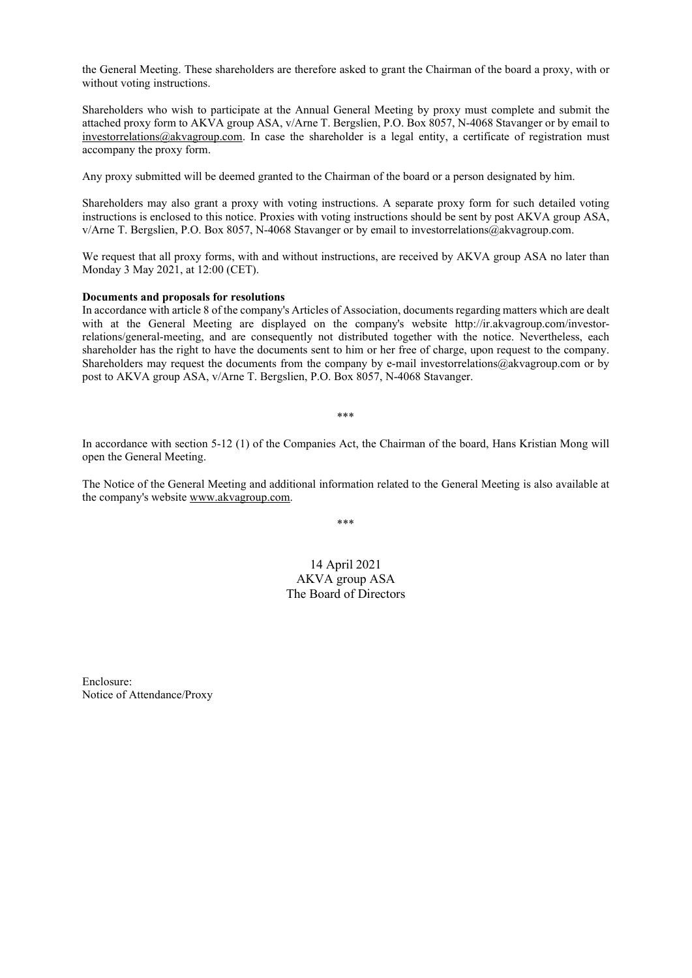the General Meeting. These shareholders are therefore asked to grant the Chairman of the board a proxy, with or without voting instructions.

Shareholders who wish to participate at the Annual General Meeting by proxy must complete and submit the attached proxy form to AKVA group ASA, v/Arne T. Bergslien, P.O. Box 8057, N-4068 Stavanger or by email to [investorrelations@akvagroup.com.](mailto:investorrelations@akvagroup.com) In case the shareholder is a legal entity, a certificate of registration must accompany the proxy form.

Any proxy submitted will be deemed granted to the Chairman of the board or a person designated by him.

Shareholders may also grant a proxy with voting instructions. A separate proxy form for such detailed voting instructions is enclosed to this notice. Proxies with voting instructions should be sent by post AKVA group ASA, v/Arne T. Bergslien, P.O. Box 8057, N-4068 Stavanger or by email to investorrelations@akvagroup.com.

We request that all proxy forms, with and without instructions, are received by AKVA group ASA no later than Monday 3 May 2021, at 12:00 (CET).

#### **Documents and proposals for resolutions**

In accordance with article 8 of the company's Articles of Association, documents regarding matters which are dealt with at the General Meeting are displayed on the company's website [http://ir.akvagroup.com/investor](http://ir.akvagroup.com/investor-relations/general-meeting)[relations/general-meeting,](http://ir.akvagroup.com/investor-relations/general-meeting) and are consequently not distributed together with the notice. Nevertheless, each shareholder has the right to have the documents sent to him or her free of charge, upon request to the company. Shareholders may request the documents from the company by e-mail investorrelations@akvagroup.com or by post to AKVA group ASA, v/Arne T. Bergslien, P.O. Box 8057, N-4068 Stavanger.

\*\*\*

In accordance with section 5-12 (1) of the Companies Act, the Chairman of the board, Hans Kristian Mong will open the General Meeting.

The Notice of the General Meeting and additional information related to the General Meeting is also available at the company's website [www.akvagroup.com.](http://www.akvagroup.com/)

\*\*\*

# 14 April 2021 AKVA group ASA The Board of Directors

Enclosure: Notice of Attendance/Proxy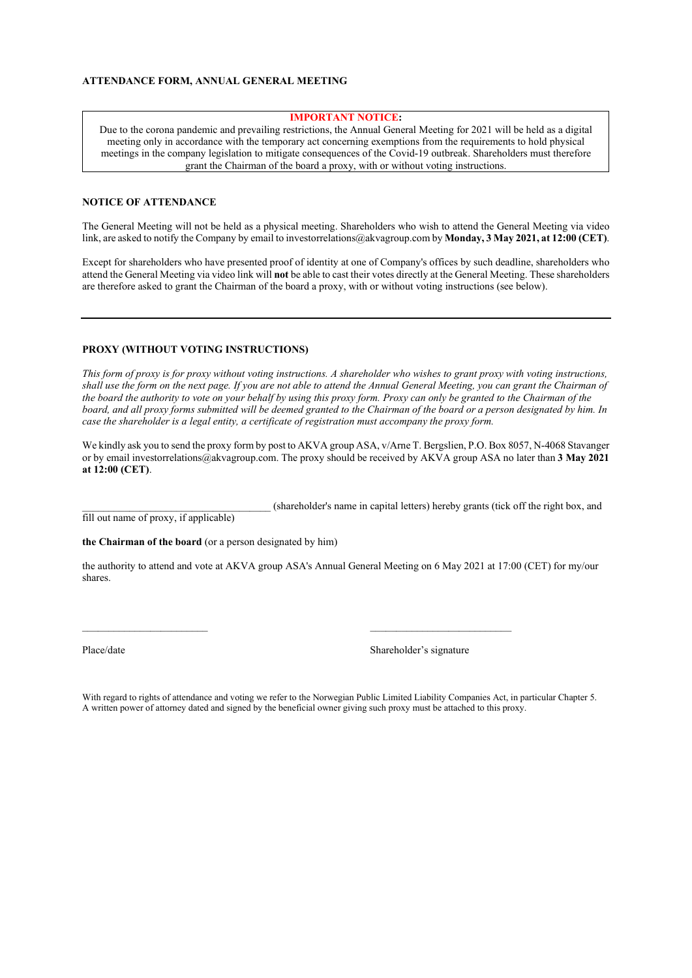#### **IMPORTANT NOTICE:**

Due to the corona pandemic and prevailing restrictions, the Annual General Meeting for 2021 will be held as a digital meeting only in accordance with the temporary act concerning exemptions from the requirements to hold physical meetings in the company legislation to mitigate consequences of the Covid-19 outbreak. Shareholders must therefore grant the Chairman of the board a proxy, with or without voting instructions.

#### **NOTICE OF ATTENDANCE**

The General Meeting will not be held as a physical meeting. Shareholders who wish to attend the General Meeting via video link, are asked to notify the Company by email to investorrelations@akvagroup.com by **Monday, 3 May 2021, at 12:00 (CET)**.

Except for shareholders who have presented proof of identity at one of Company's offices by such deadline, shareholders who attend the General Meeting via video link will **not** be able to cast their votes directly at the General Meeting. These shareholders are therefore asked to grant the Chairman of the board a proxy, with or without voting instructions (see below).

#### **PROXY (WITHOUT VOTING INSTRUCTIONS)**

*This form of proxy is for proxy without voting instructions. A shareholder who wishes to grant proxy with voting instructions, shall use the form on the next page. If you are not able to attend the Annual General Meeting, you can grant the Chairman of the board the authority to vote on your behalf by using this proxy form. Proxy can only be granted to the Chairman of the*  board, and all proxy forms submitted will be deemed granted to the Chairman of the board or a person designated by him. In *case the shareholder is a legal entity, a certificate of registration must accompany the proxy form.*

We kindly ask you to send the proxy form by post to AKVA group ASA, v/Arne T. Bergslien, P.O. Box 8057, N-4068 Stavanger or by email investorrelations@akvagroup.com. The proxy should be received by AKVA group ASA no later than **3 May 2021 at 12:00 (CET)**.

\_\_\_\_\_\_\_\_\_\_\_\_\_\_\_\_\_\_\_\_\_\_\_\_\_\_\_\_\_\_\_\_\_\_\_\_ (shareholder's name in capital letters) hereby grants (tick off the right box, and

fill out name of proxy, if applicable)

**the Chairman of the board** (or a person designated by him)

the authority to attend and vote at AKVA group ASA's Annual General Meeting on 6 May 2021 at 17:00 (CET) for my/our shares.

\_\_\_\_\_\_\_\_\_\_\_\_\_\_\_\_\_\_\_\_\_\_\_\_ \_\_\_\_\_\_\_\_\_\_\_\_\_\_\_\_\_\_\_\_\_\_\_\_\_\_\_

Place/date Shareholder's signature

With regard to rights of attendance and voting we refer to the Norwegian Public Limited Liability Companies Act, in particular Chapter 5. A written power of attorney dated and signed by the beneficial owner giving such proxy must be attached to this proxy.